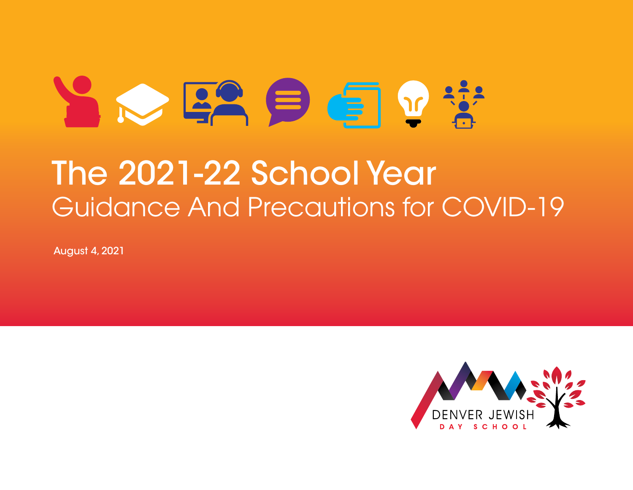# $\sim$   $\approx$   $\approx$   $\approx$   $\approx$ The 2021-22 School Year Guidance And Precautions for COVID-19

August 4, 2021

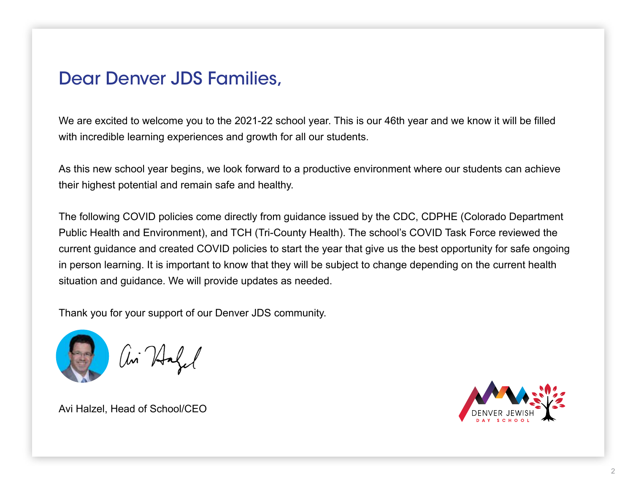#### Dear Denver JDS Families,

We are excited to welcome you to the 2021-22 school year. This is our 46th year and we know it will be filled with incredible learning experiences and growth for all our students.

As this new school year begins, we look forward to a productive environment where our students can achieve their highest potential and remain safe and healthy.

The following COVID policies come directly from guidance issued by the CDC, CDPHE (Colorado Department Public Health and Environment), and TCH (Tri-County Health). The school's COVID Task Force reviewed the current guidance and created COVID policies to start the year that give us the best opportunity for safe ongoing in person learning. It is important to know that they will be subject to change depending on the current health situation and guidance. We will provide updates as needed.

Thank you for your support of our Denver JDS community.



ai Hafe

Avi Halzel, Head of School/CEO

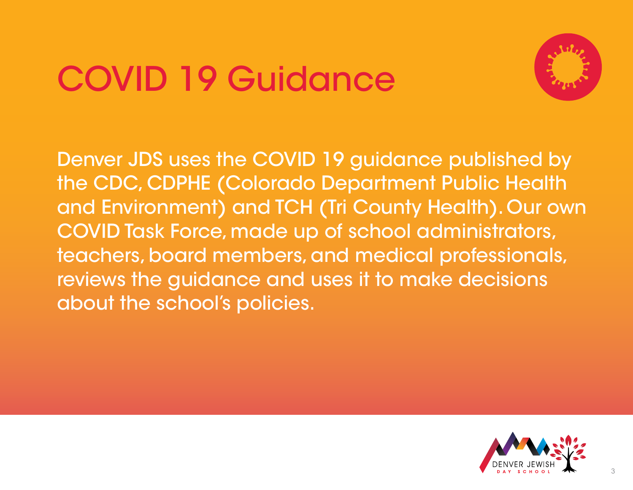## COVID 19 Guidance



Denver JDS uses the COVID 19 guidance published by the CDC, CDPHE (Colorado Department Public Health and Environment) and TCH (Tri County Health). Our own COVID Task Force, made up of school administrators, teachers, board members, and medical professionals, reviews the guidance and uses it to make decisions about the school's policies.

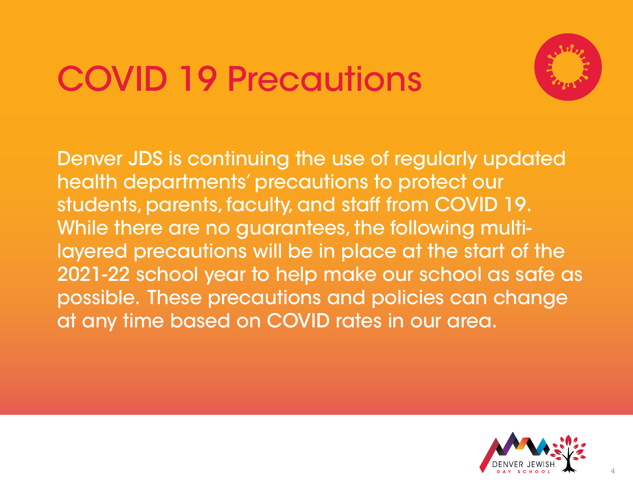

Denver JDS is continuing the use of regularly updated health departments' precautions to protect our students, parents, faculty, and staff from COVID 19. While there are no guarantees, the following multilayered precautions will be in place at the start of the 2021-22 school year to help make our school as safe as possible. These precautions and policies can change at any time based on COVID rates in our area.

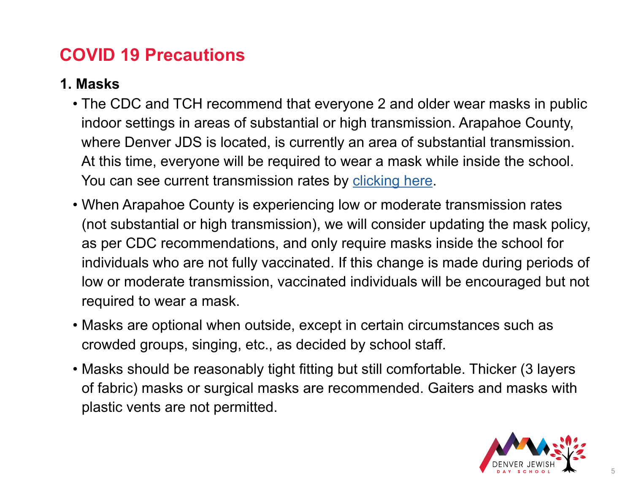#### **1. Masks**

- The CDC and TCH recommend that everyone 2 and older wear masks in public indoor settings in areas of substantial or high transmission. Arapahoe County, where Denver JDS is located, is currently an area of substantial transmission. At this time, everyone will be required to wear a mask while inside the school. You can see current transmission rates by [clicking here](https://covid.cdc.gov/covid-data-tracker/#county-view).
- When Arapahoe County is experiencing low or moderate transmission rates (not substantial or high transmission), we will consider updating the mask policy, as per CDC recommendations, and only require masks inside the school for individuals who are not fully vaccinated. If this change is made during periods of low or moderate transmission, vaccinated individuals will be encouraged but not required to wear a mask.
- Masks are optional when outside, except in certain circumstances such as crowded groups, singing, etc., as decided by school staff.
- Masks should be reasonably tight fitting but still comfortable. Thicker (3 layers of fabric) masks or surgical masks are recommended. Gaiters and masks with plastic vents are not permitted.

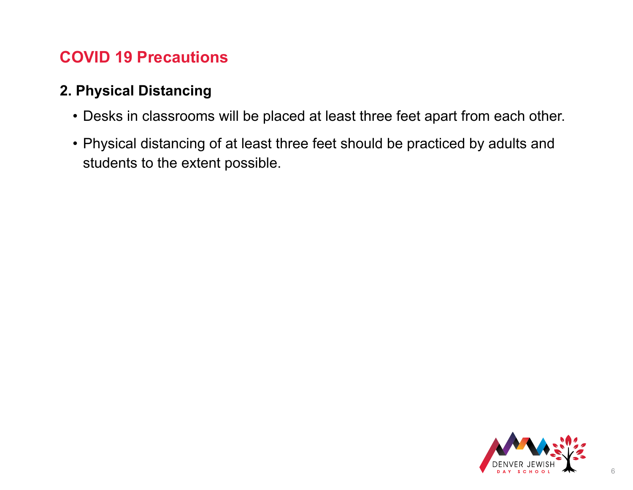#### **2. Physical Distancing**

- Desks in classrooms will be placed at least three feet apart from each other.
- Physical distancing of at least three feet should be practiced by adults and students to the extent possible.

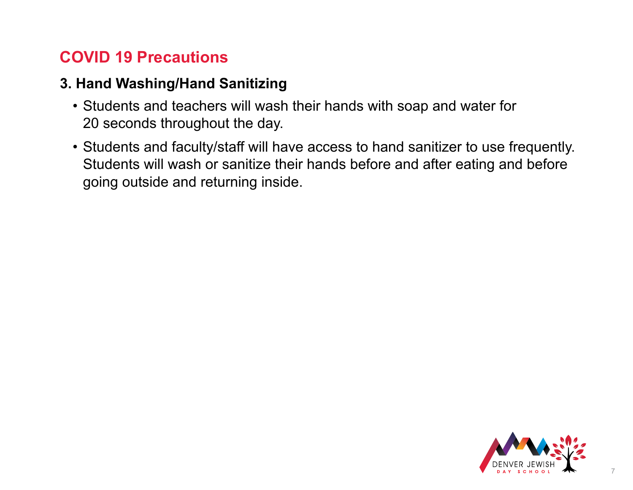#### **3. Hand Washing/Hand Sanitizing**

- Students and teachers will wash their hands with soap and water for 20 seconds throughout the day.
- Students and faculty/staff will have access to hand sanitizer to use frequently. Students will wash or sanitize their hands before and after eating and before going outside and returning inside.

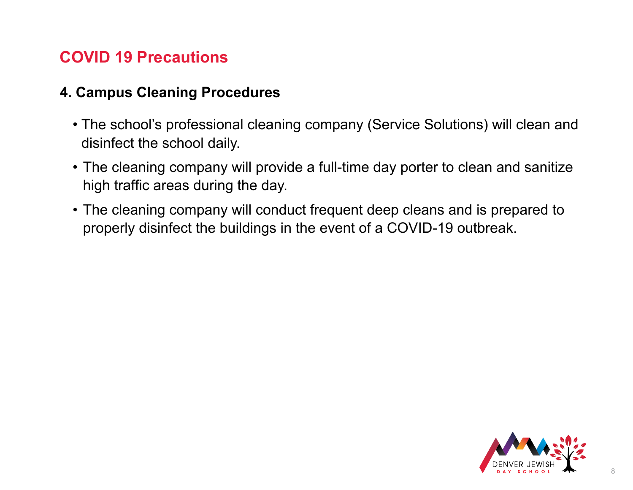#### **4. Campus Cleaning Procedures**

- The school's professional cleaning company (Service Solutions) will clean and disinfect the school daily.
- The cleaning company will provide a full-time day porter to clean and sanitize high traffic areas during the day.
- The cleaning company will conduct frequent deep cleans and is prepared to properly disinfect the buildings in the event of a COVID-19 outbreak.

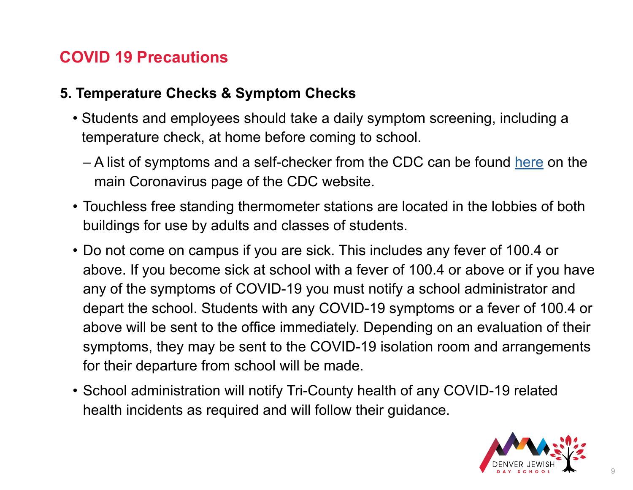#### **5. Temperature Checks & Symptom Checks**

- Students and employees should take a daily symptom screening, including a temperature check, at home before coming to school.
	- A list of symptoms and a self-checker from the CDC can be found [here](https://www.cdc.gov/coronavirus/2019-ncov/symptoms-testing/symptoms.html) on the main Coronavirus page of the CDC website.
- Touchless free standing thermometer stations are located in the lobbies of both buildings for use by adults and classes of students.
- Do not come on campus if you are sick. This includes any fever of 100.4 or above. If you become sick at school with a fever of 100.4 or above or if you have any of the symptoms of COVID-19 you must notify a school administrator and depart the school. Students with any COVID-19 symptoms or a fever of 100.4 or above will be sent to the office immediately. Depending on an evaluation of their symptoms, they may be sent to the COVID-19 isolation room and arrangements for their departure from school will be made.
- School administration will notify Tri-County health of any COVID-19 related health incidents as required and will follow their guidance.

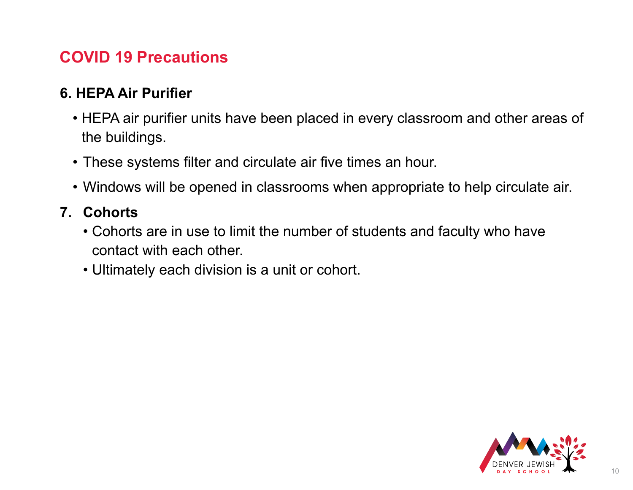#### **6. HEPA Air Purifier**

- HEPA air purifier units have been placed in every classroom and other areas of the buildings.
- These systems filter and circulate air five times an hour.
- Windows will be opened in classrooms when appropriate to help circulate air.

#### **7. Cohorts**

- Cohorts are in use to limit the number of students and faculty who have contact with each other.
- Ultimately each division is a unit or cohort.

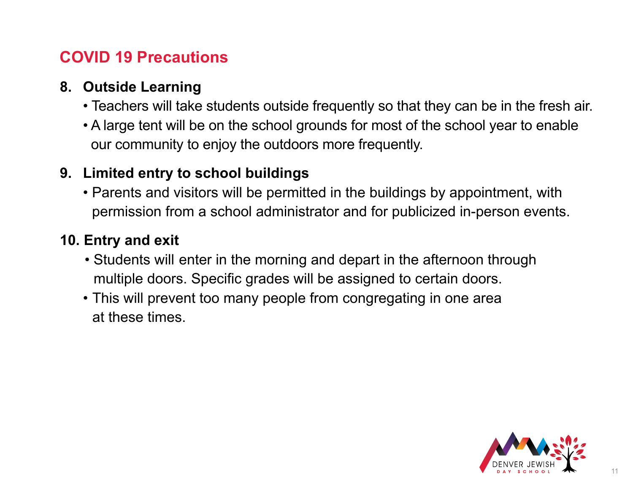#### **8. Outside Learning**

- Teachers will take students outside frequently so that they can be in the fresh air.
- A large tent will be on the school grounds for most of the school year to enable our community to enjoy the outdoors more frequently.

#### **9. Limited entry to school buildings**

 • Parents and visitors will be permitted in the buildings by appointment, with permission from a school administrator and for publicized in-person events.

#### **10. Entry and exit**

- Students will enter in the morning and depart in the afternoon through multiple doors. Specific grades will be assigned to certain doors.
- This will prevent too many people from congregating in one area at these times.

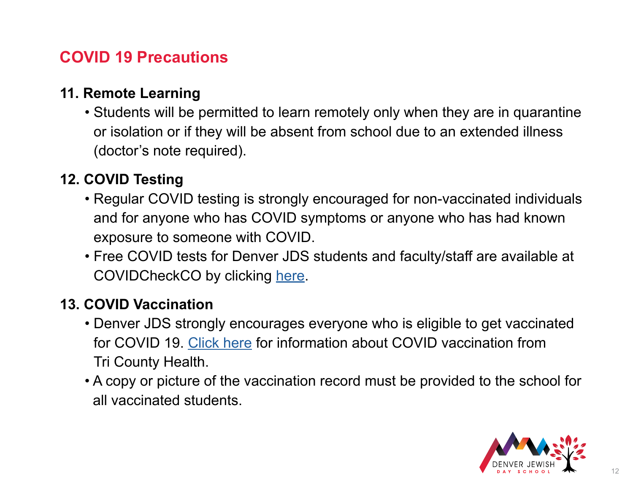#### **11. Remote Learning**

 • Students will be permitted to learn remotely only when they are in quarantine or isolation or if they will be absent from school due to an extended illness (doctor's note required).

#### **12. COVID Testing**

- Regular COVID testing is strongly encouraged for non-vaccinated individuals and for anyone who has COVID symptoms or anyone who has had known exposure to someone with COVID.
- Free COVID tests for Denver JDS students and faculty/staff are available at COVIDCheckCO by clicking [here](https://my.primary.health/l/djds).

#### **13. COVID Vaccination**

- Denver JDS strongly encourages everyone who is eligible to get vaccinated for COVID 19. [Click here](https://www.tchd.org/866/COVID-19-Vaccine) for information about COVID vaccination from Tri County Health.
- A copy or picture of the vaccination record must be provided to the school for all vaccinated students.

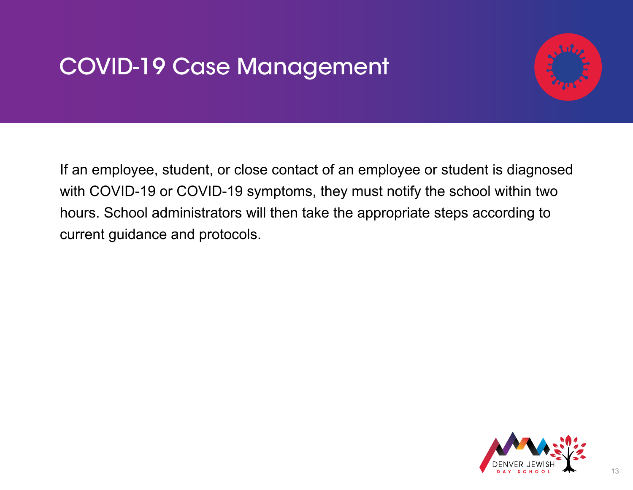### COVID-19 Case Management



If an employee, student, or close contact of an employee or student is diagnosed with COVID-19 or COVID-19 symptoms, they must notify the school within two hours. School administrators will then take the appropriate steps according to current guidance and protocols.

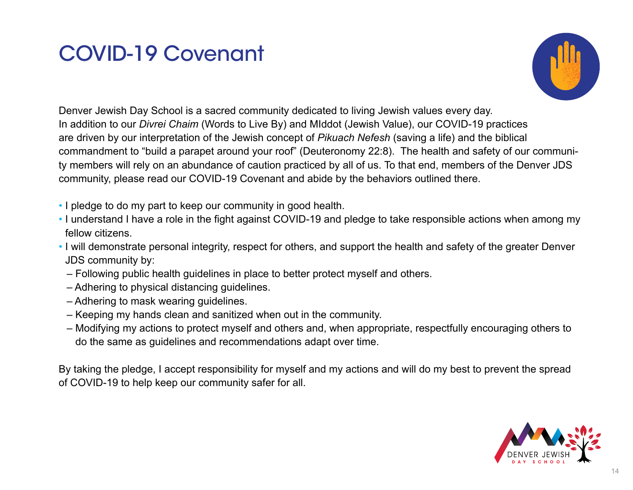### COVID-19 Covenant



Denver Jewish Day School is a sacred community dedicated to living Jewish values every day. In addition to our *Divrei Chaim* (Words to Live By) and MIddot (Jewish Value), our COVID-19 practices are driven by our interpretation of the Jewish concept of *Pikuach Nefesh* (saving a life) and the biblical commandment to "build a parapet around your roof" (Deuteronomy 22:8). The health and safety of our community members will rely on an abundance of caution practiced by all of us. To that end, members of the Denver JDS community, please read our COVID-19 Covenant and abide by the behaviors outlined there.

- I pledge to do my part to keep our community in good health.
- I understand I have a role in the fight against COVID-19 and pledge to take responsible actions when among my fellow citizens.
- I will demonstrate personal integrity, respect for others, and support the health and safety of the greater Denver JDS community by:
	- Following public health guidelines in place to better protect myself and others.
	- Adhering to physical distancing guidelines.
	- Adhering to mask wearing guidelines.
	- Keeping my hands clean and sanitized when out in the community.
	- Modifying my actions to protect myself and others and, when appropriate, respectfully encouraging others to do the same as guidelines and recommendations adapt over time.

By taking the pledge, I accept responsibility for myself and my actions and will do my best to prevent the spread of COVID-19 to help keep our community safer for all.